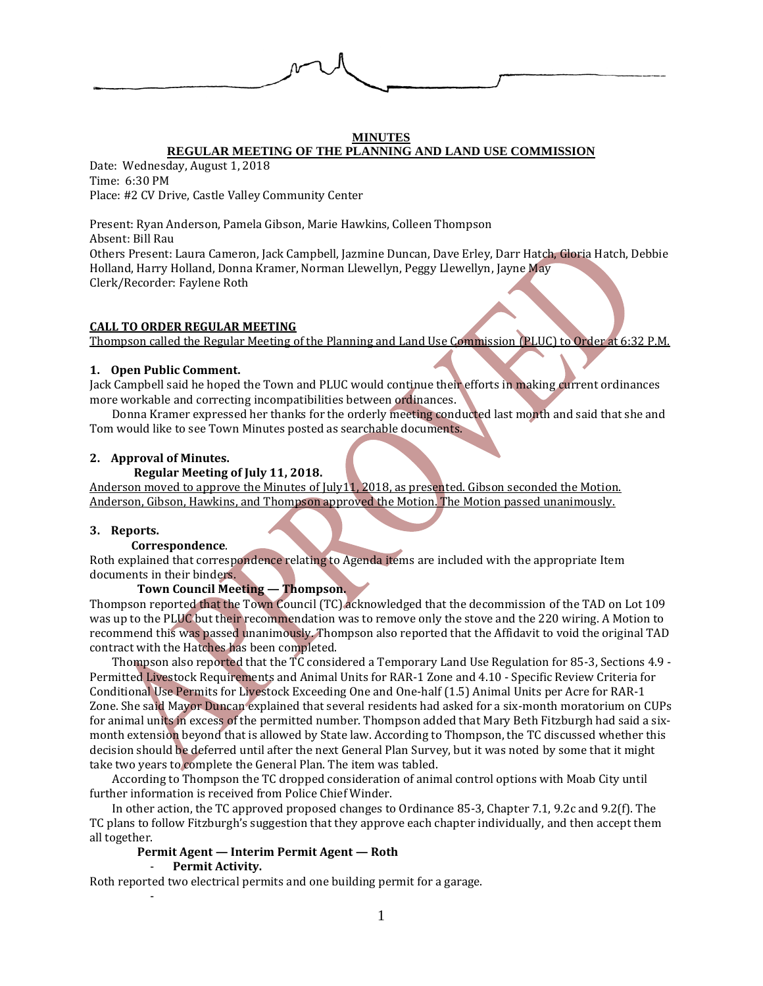

#### **MINUTES REGULAR MEETING OF THE PLANNING AND LAND USE COMMISSION**

Date: Wednesday, August 1, 2018 Time: 6:30 PM Place: #2 CV Drive, Castle Valley Community Center

Present: Ryan Anderson, Pamela Gibson, Marie Hawkins, Colleen Thompson Absent: Bill Rau Others Present: Laura Cameron, Jack Campbell, Jazmine Duncan, Dave Erley, Darr Hatch, Gloria Hatch, Debbie Holland, Harry Holland, Donna Kramer, Norman Llewellyn, Peggy Llewellyn, Jayne May Clerk/Recorder: Faylene Roth

### **CALL TO ORDER REGULAR MEETING**

Thompson called the Regular Meeting of the Planning and Land Use Commission (PLUC) to Order at 6:32 P.M.

### **1. Open Public Comment.**

Jack Campbell said he hoped the Town and PLUC would continue their efforts in making current ordinances more workable and correcting incompatibilities between ordinances.

Donna Kramer expressed her thanks for the orderly meeting conducted last month and said that she and Tom would like to see Town Minutes posted as searchable documents.

## **2. Approval of Minutes.**

## **Regular Meeting of July 11, 2018.**

Anderson moved to approve the Minutes of July11, 2018, as presented. Gibson seconded the Motion. Anderson, Gibson, Hawkins, and Thompson approved the Motion. The Motion passed unanimously.

#### **3. Reports.**

## **Correspondence**.

Roth explained that correspondence relating to Agenda items are included with the appropriate Item documents in their binders.

## **Town Council Meeting — Thompson.**

Thompson reported that the Town Council (TC) acknowledged that the decommission of the TAD on Lot 109 was up to the PLUC but their recommendation was to remove only the stove and the 220 wiring. A Motion to recommend this was passed unanimously. Thompson also reported that the Affidavit to void the original TAD contract with the Hatches has been completed.

Thompson also reported that the TC considered a Temporary Land Use Regulation for 85-3, Sections 4.9 - Permitted Livestock Requirements and Animal Units for RAR-1 Zone and 4.10 - Specific Review Criteria for Conditional Use Permits for Livestock Exceeding One and One-half (1.5) Animal Units per Acre for RAR-1 Zone. She said Mayor Duncan explained that several residents had asked for a six-month moratorium on CUPs for animal units in excess of the permitted number. Thompson added that Mary Beth Fitzburgh had said a sixmonth extension beyond that is allowed by State law. According to Thompson, the TC discussed whether this decision should be deferred until after the next General Plan Survey, but it was noted by some that it might take two years to complete the General Plan. The item was tabled.

According to Thompson the TC dropped consideration of animal control options with Moab City until further information is received from Police Chief Winder.

In other action, the TC approved proposed changes to Ordinance 85-3, Chapter 7.1, 9.2c and 9.2(f). The TC plans to follow Fitzburgh's suggestion that they approve each chapter individually, and then accept them all together.

# **Permit Agent — Interim Permit Agent — Roth**

#### - **Permit Activity.**

-

Roth reported two electrical permits and one building permit for a garage.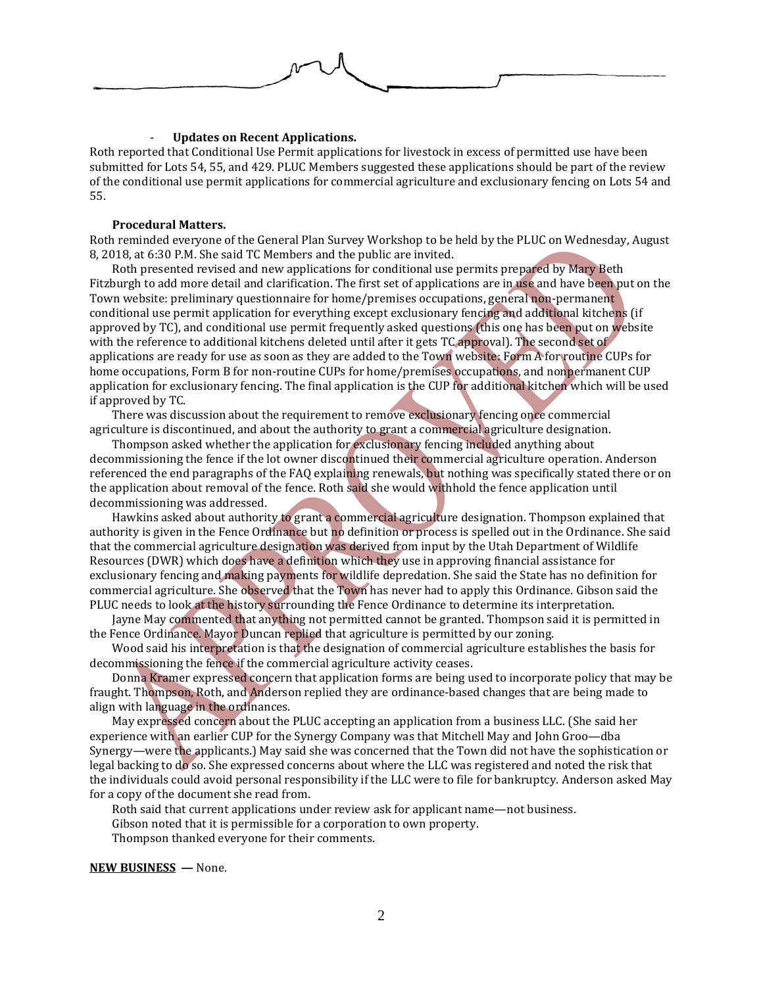

## - **Updates on Recent Applications.**

Roth reported that Conditional Use Permit applications for livestock in excess of permitted use have been submitted for Lots 54, 55, and 429. PLUC Members suggested these applications should be part of the review of the conditional use permit applications for commercial agriculture and exclusionary fencing on Lots 54 and 55.

#### **Procedural Matters.**

Roth reminded everyone of the General Plan Survey Workshop to be held by the PLUC on Wednesday, August 8, 2018, at 6:30 P.M. She said TC Members and the public are invited.

Roth presented revised and new applications for conditional use permits prepared by Mary Beth Fitzburgh to add more detail and clarification. The first set of applications are in use and have been put on the Town website: preliminary questionnaire for home/premises occupations, general non-permanent conditional use permit application for everything except exclusionary fencing and additional kitchens (if approved by TC), and conditional use permit frequently asked questions (this one has been put on website with the reference to additional kitchens deleted until after it gets TC approval). The second set of applications are ready for use as soon as they are added to the Town website: Form A for routine CUPs for home occupations, Form B for non-routine CUPs for home/premises occupations, and nonpermanent CUP application for exclusionary fencing. The final application is the CUP for additional kitchen which will be used if approved by TC.

There was discussion about the requirement to remove exclusionary fencing once commercial agriculture is discontinued, and about the authority to grant a commercial agriculture designation.

Thompson asked whether the application for exclusionary fencing included anything about decommissioning the fence if the lot owner discontinued their commercial agriculture operation. Anderson referenced the end paragraphs of the FAQ explaining renewals, but nothing was specifically stated there or on the application about removal of the fence. Roth said she would withhold the fence application until decommissioning was addressed.

Hawkins asked about authority to grant a commercial agriculture designation. Thompson explained that authority is given in the Fence Ordinance but no definition or process is spelled out in the Ordinance. She said that the commercial agriculture designation was derived from input by the Utah Department of Wildlife Resources (DWR) which does have a definition which they use in approving financial assistance for exclusionary fencing and making payments for wildlife depredation. She said the State has no definition for commercial agriculture. She observed that the Town has never had to apply this Ordinance. Gibson said the PLUC needs to look at the history surrounding the Fence Ordinance to determine its interpretation.

Jayne May commented that anything not permitted cannot be granted. Thompson said it is permitted in the Fence Ordinance. Mayor Duncan replied that agriculture is permitted by our zoning.

Wood said his interpretation is that the designation of commercial agriculture establishes the basis for decommissioning the fence if the commercial agriculture activity ceases.

Donna Kramer expressed concern that application forms are being used to incorporate policy that may be fraught. Thompson, Roth, and Anderson replied they are ordinance-based changes that are being made to align with language in the ordinances.

May expressed concern about the PLUC accepting an application from a business LLC. (She said her experience with an earlier CUP for the Synergy Company was that Mitchell May and John Groo—dba Synergy—were the applicants.) May said she was concerned that the Town did not have the sophistication or legal backing to do so. She expressed concerns about where the LLC was registered and noted the risk that the individuals could avoid personal responsibility if the LLC were to file for bankruptcy. Anderson asked May for a copy of the document she read from.

Roth said that current applications under review ask for applicant name—not business. Gibson noted that it is permissible for a corporation to own property. Thompson thanked everyone for their comments.

**NEW BUSINESS —** None.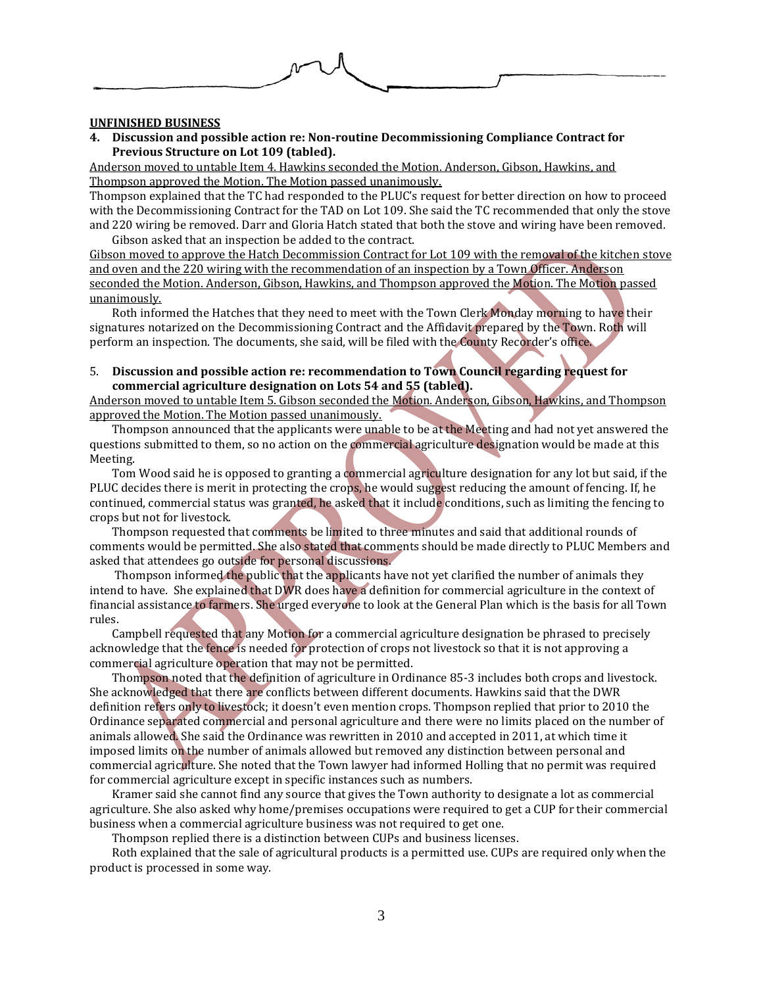## **UNFINISHED BUSINESS**

**4. Discussion and possible action re: Non-routine Decommissioning Compliance Contract for Previous Structure on Lot 109 (tabled).** 

Anderson moved to untable Item 4. Hawkins seconded the Motion. Anderson, Gibson, Hawkins, and Thompson approved the Motion. The Motion passed unanimously.

Thompson explained that the TC had responded to the PLUC's request for better direction on how to proceed with the Decommissioning Contract for the TAD on Lot 109. She said the TC recommended that only the stove and 220 wiring be removed. Darr and Gloria Hatch stated that both the stove and wiring have been removed. Gibson asked that an inspection be added to the contract.

Gibson moved to approve the Hatch Decommission Contract for Lot 109 with the removal of the kitchen stove and oven and the 220 wiring with the recommendation of an inspection by a Town Officer. Anderson seconded the Motion. Anderson, Gibson, Hawkins, and Thompson approved the Motion. The Motion passed unanimously.

Roth informed the Hatches that they need to meet with the Town Clerk Monday morning to have their signatures notarized on the Decommissioning Contract and the Affidavit prepared by the Town. Roth will perform an inspection. The documents, she said, will be filed with the County Recorder's office.

5. **Discussion and possible action re: recommendation to Town Council regarding request for commercial agriculture designation on Lots 54 and 55 (tabled).**

Anderson moved to untable Item 5. Gibson seconded the Motion. Anderson, Gibson, Hawkins, and Thompson approved the Motion. The Motion passed unanimously.

Thompson announced that the applicants were unable to be at the Meeting and had not yet answered the questions submitted to them, so no action on the commercial agriculture designation would be made at this Meeting.

Tom Wood said he is opposed to granting a commercial agriculture designation for any lot but said, if the PLUC decides there is merit in protecting the crops, he would suggest reducing the amount of fencing. If, he continued, commercial status was granted, he asked that it include conditions, such as limiting the fencing to crops but not for livestock.

Thompson requested that comments be limited to three minutes and said that additional rounds of comments would be permitted. She also stated that comments should be made directly to PLUC Members and asked that attendees go outside for personal discussions.

Thompson informed the public that the applicants have not yet clarified the number of animals they intend to have. She explained that DWR does have a definition for commercial agriculture in the context of financial assistance to farmers. She urged everyone to look at the General Plan which is the basis for all Town rules.

Campbell requested that any Motion for a commercial agriculture designation be phrased to precisely acknowledge that the fence is needed for protection of crops not livestock so that it is not approving a commercial agriculture operation that may not be permitted.

Thompson noted that the definition of agriculture in Ordinance 85-3 includes both crops and livestock. She acknowledged that there are conflicts between different documents. Hawkins said that the DWR definition refers only to livestock; it doesn't even mention crops. Thompson replied that prior to 2010 the Ordinance separated commercial and personal agriculture and there were no limits placed on the number of animals allowed. She said the Ordinance was rewritten in 2010 and accepted in 2011, at which time it imposed limits on the number of animals allowed but removed any distinction between personal and commercial agriculture. She noted that the Town lawyer had informed Holling that no permit was required for commercial agriculture except in specific instances such as numbers.

Kramer said she cannot find any source that gives the Town authority to designate a lot as commercial agriculture. She also asked why home/premises occupations were required to get a CUP for their commercial business when a commercial agriculture business was not required to get one.

Thompson replied there is a distinction between CUPs and business licenses.

Roth explained that the sale of agricultural products is a permitted use. CUPs are required only when the product is processed in some way.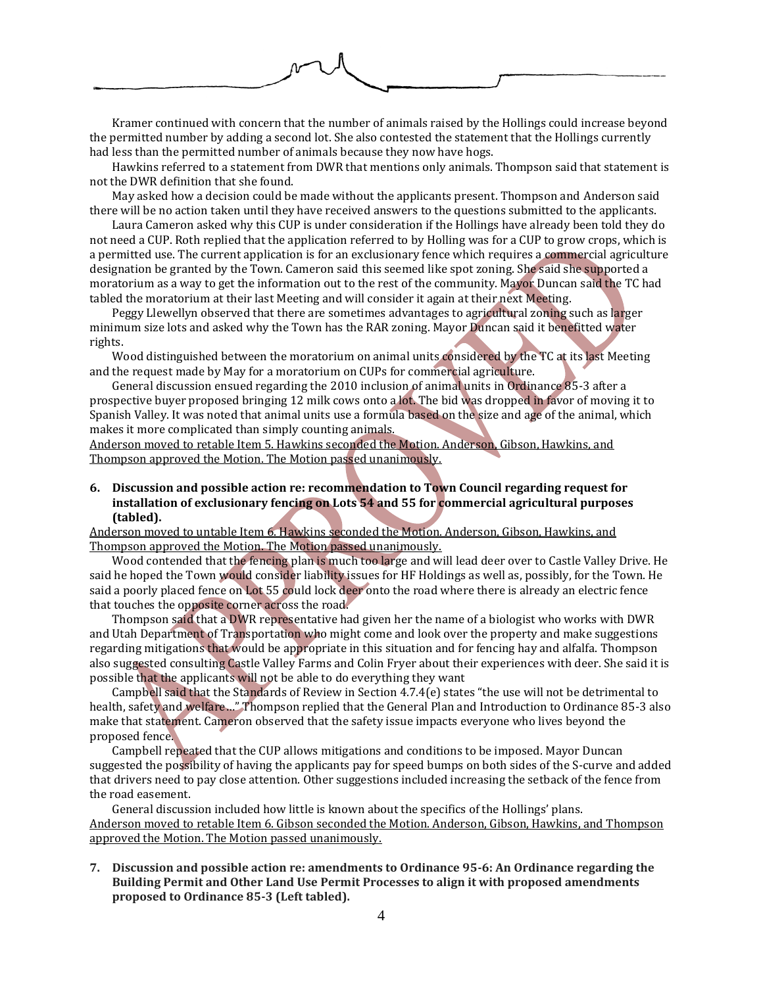

Kramer continued with concern that the number of animals raised by the Hollings could increase beyond the permitted number by adding a second lot. She also contested the statement that the Hollings currently had less than the permitted number of animals because they now have hogs.

Hawkins referred to a statement from DWR that mentions only animals. Thompson said that statement is not the DWR definition that she found.

May asked how a decision could be made without the applicants present. Thompson and Anderson said there will be no action taken until they have received answers to the questions submitted to the applicants.

Laura Cameron asked why this CUP is under consideration if the Hollings have already been told they do not need a CUP. Roth replied that the application referred to by Holling was for a CUP to grow crops, which is a permitted use. The current application is for an exclusionary fence which requires a commercial agriculture designation be granted by the Town. Cameron said this seemed like spot zoning. She said she supported a moratorium as a way to get the information out to the rest of the community. Mayor Duncan said the TC had tabled the moratorium at their last Meeting and will consider it again at their next Meeting.

Peggy Llewellyn observed that there are sometimes advantages to agricultural zoning such as larger minimum size lots and asked why the Town has the RAR zoning. Mayor Duncan said it benefitted water rights.

Wood distinguished between the moratorium on animal units considered by the TC at its last Meeting and the request made by May for a moratorium on CUPs for commercial agriculture.

General discussion ensued regarding the 2010 inclusion of animal units in Ordinance 85-3 after a prospective buyer proposed bringing 12 milk cows onto a lot. The bid was dropped in favor of moving it to Spanish Valley. It was noted that animal units use a formula based on the size and age of the animal, which makes it more complicated than simply counting animals.

Anderson moved to retable Item 5. Hawkins seconded the Motion. Anderson, Gibson, Hawkins, and Thompson approved the Motion. The Motion passed unanimously.

**6. Discussion and possible action re: recommendation to Town Council regarding request for installation of exclusionary fencing on Lots 54 and 55 for commercial agricultural purposes (tabled).**

Anderson moved to untable Item 6. Hawkins seconded the Motion. Anderson, Gibson, Hawkins, and Thompson approved the Motion. The Motion passed unanimously.

Wood contended that the fencing plan is much too large and will lead deer over to Castle Valley Drive. He said he hoped the Town would consider liability issues for HF Holdings as well as, possibly, for the Town. He said a poorly placed fence on Lot 55 could lock deer onto the road where there is already an electric fence that touches the opposite corner across the road.

Thompson said that a DWR representative had given her the name of a biologist who works with DWR and Utah Department of Transportation who might come and look over the property and make suggestions regarding mitigations that would be appropriate in this situation and for fencing hay and alfalfa. Thompson also suggested consulting Castle Valley Farms and Colin Fryer about their experiences with deer. She said it is possible that the applicants will not be able to do everything they want

Campbell said that the Standards of Review in Section 4.7.4(e) states "the use will not be detrimental to health, safety and welfare…" Thompson replied that the General Plan and Introduction to Ordinance 85-3 also make that statement. Cameron observed that the safety issue impacts everyone who lives beyond the proposed fence.

Campbell repeated that the CUP allows mitigations and conditions to be imposed. Mayor Duncan suggested the possibility of having the applicants pay for speed bumps on both sides of the S-curve and added that drivers need to pay close attention. Other suggestions included increasing the setback of the fence from the road easement.

General discussion included how little is known about the specifics of the Hollings' plans. Anderson moved to retable Item 6. Gibson seconded the Motion. Anderson, Gibson, Hawkins, and Thompson approved the Motion. The Motion passed unanimously.

**7. Discussion and possible action re: amendments to Ordinance 95-6: An Ordinance regarding the Building Permit and Other Land Use Permit Processes to align it with proposed amendments proposed to Ordinance 85-3 (Left tabled).**